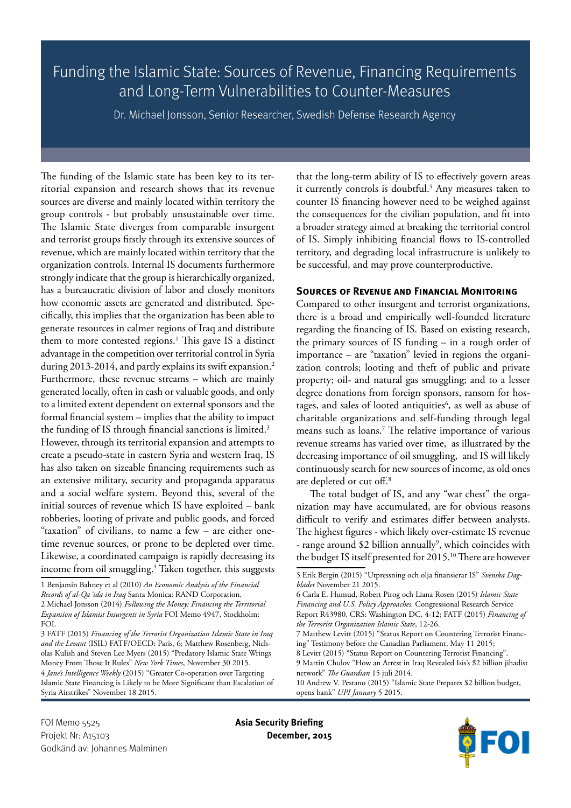Funding the Islamic State: Sources of Revenue, Financing Requirements and Long-Term Vulnerabilities to Counter-Measures

Dr. Michael Jonsson, Senior Researcher, Swedish Defense Research Agency

The funding of the Islamic state has been key to its territorial expansion and research shows that its revenue sources are diverse and mainly located within territory the group controls - but probably unsustainable over time. The Islamic State diverges from comparable insurgent and terrorist groups firstly through its extensive sources of revenue, which are mainly located within territory that the organization controls. Internal IS documents furthermore strongly indicate that the group is hierarchically organized, has a bureaucratic division of labor and closely monitors how economic assets are generated and distributed. Specifically, this implies that the organization has been able to generate resources in calmer regions of Iraq and distribute them to more contested regions.<sup>1</sup> This gave IS a distinct advantage in the competition over territorial control in Syria during 2013-2014, and partly explains its swift expansion.<sup>2</sup> Furthermore, these revenue streams – which are mainly generated locally, often in cash or valuable goods, and only to a limited extent dependent on external sponsors and the formal financial system – implies that the ability to impact the funding of IS through financial sanctions is limited.<sup>3</sup> However, through its territorial expansion and attempts to create a pseudo-state in eastern Syria and western Iraq, IS

has also taken on sizeable financing requirements such as an extensive military, security and propaganda apparatus and a social welfare system. Beyond this, several of the initial sources of revenue which IS have exploited – bank robberies, looting of private and public goods, and forced "taxation" of civilians, to name a few – are either onetime revenue sources, or prone to be depleted over time. Likewise, a coordinated campaign is rapidly decreasing its income from oil smuggling.4 Taken together, this suggests

that the long-term ability of IS to effectively govern areas it currently controls is doubtful.<sup>5</sup> Any measures taken to counter IS financing however need to be weighed against the consequences for the civilian population, and fit into a broader strategy aimed at breaking the territorial control of IS. Simply inhibiting financial flows to IS-controlled territory, and degrading local infrastructure is unlikely to be successful, and may prove counterproductive.

## **Sources of Revenue and Financial Monitoring**

Compared to other insurgent and terrorist organizations, there is a broad and empirically well-founded literature regarding the financing of IS. Based on existing research, the primary sources of IS funding – in a rough order of importance – are "taxation" levied in regions the organization controls; looting and theft of public and private property; oil- and natural gas smuggling; and to a lesser degree donations from foreign sponsors, ransom for hostages, and sales of looted antiquities<sup>6</sup>, as well as abuse of charitable organizations and self-funding through legal means such as loans.7 The relative importance of various revenue streams has varied over time, as illustrated by the decreasing importance of oil smuggling, and IS will likely continuously search for new sources of income, as old ones are depleted or cut off.8

The total budget of IS, and any "war chest" the organization may have accumulated, are for obvious reasons difficult to verify and estimates differ between analysts. The highest figures - which likely over-estimate IS revenue - range around \$2 billion annually<sup>9</sup>, which coincides with the budget IS itself presented for 2015.<sup>10</sup> There are however



<sup>1</sup> Benjamin Bahney et al (2010) *An Economic Analysis of the Financial Records of al-Qa´ida in Iraq* Santa Monica: RAND Corporation. 2 Michael Jonsson (2014) *Following the Money: Financing the Territorial Expansion of Islamist Insurgents in Syria* FOI Memo 4947, Stockholm: FOI.

<sup>3</sup> FATF (2015) *Financing of the Terrorist Organization Islamic State in Iraq and the Levant* (ISIL) FATF/OECD: Paris, 6; Matthew Rosenberg, Nicholas Kulish and Steven Lee Myers (2015) "Predatory Islamic State Wrings Money From Those It Rules" *New York Times*, November 30 2015. 4 *Jane's Intelligence Weekly* (2015) "Greater Co-operation over Targeting Islamic State Financing is Likely to be More Significant than Escalation of Syria Airstrikes" November 18 2015.

<sup>5</sup> Erik Bergin (2015) "Utpressning och olja finansierar IS" *Svenska Dagbladet* November 21 2015.

<sup>6</sup> Carla E. Humud, Robert Pirog och Liana Rosen (2015) *Islamic State Financing and U.S. Policy Approaches.* Congressional Research Service Report R43980, CRS: Washington DC, 4-12; FATF (2015) *Financing of the Terrorist Organization Islamic State*, 12-26.

<sup>7</sup> Matthew Levitt (2015) "Status Report on Countering Terrorist Financing" Testimony before the Canadian Parliament, May 11 2015;

<sup>8</sup> Levitt (2015) "Status Report on Countering Terrorist Financing".

<sup>9</sup> Martin Chulov "How an Arrest in Iraq Revealed Isis's \$2 billion jihadist network" *The Guardian* 15 juli 2014.

<sup>10</sup> Andrew V. Pestano (2015) "Islamic State Prepares \$2 billion budget, opens bank" *UPI January* 5 2015.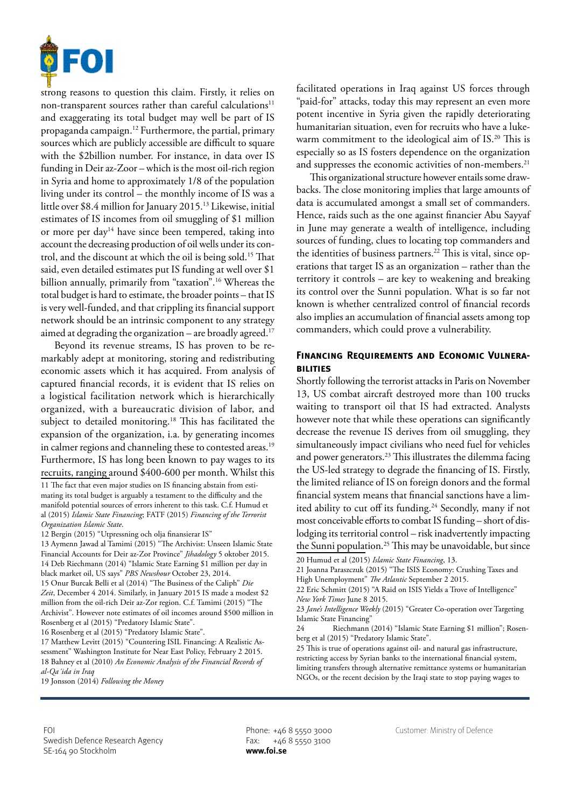

strong reasons to question this claim. Firstly, it relies on non-transparent sources rather than careful calculations<sup>11</sup> and exaggerating its total budget may well be part of IS propaganda campaign.12 Furthermore, the partial, primary sources which are publicly accessible are difficult to square with the \$2billion number. For instance, in data over IS funding in Deir az-Zoor – which is the most oil-rich region in Syria and home to approximately 1/8 of the population living under its control – the monthly income of IS was a little over \$8.4 million for January 2015.13 Likewise, initial estimates of IS incomes from oil smuggling of \$1 million or more per day<sup>14</sup> have since been tempered, taking into account the decreasing production of oil wells under its control, and the discount at which the oil is being sold.15 That said, even detailed estimates put IS funding at well over \$1 billion annually, primarily from "taxation".16 Whereas the total budget is hard to estimate, the broader points – that IS is very well-funded, and that crippling its financial support network should be an intrinsic component to any strategy aimed at degrading the organization – are broadly agreed.<sup>17</sup>

Beyond its revenue streams, IS has proven to be remarkably adept at monitoring, storing and redistributing economic assets which it has acquired. From analysis of captured financial records, it is evident that IS relies on a logistical facilitation network which is hierarchically organized, with a bureaucratic division of labor, and subject to detailed monitoring.<sup>18</sup> This has facilitated the expansion of the organization, i.a. by generating incomes in calmer regions and channeling these to contested areas.<sup>19</sup> Furthermore, IS has long been known to pay wages to its recruits, ranging around \$400-600 per month. Whilst this

11 The fact that even major studies on IS financing abstain from estimating its total budget is arguably a testament to the difficulty and the manifold potential sources of errors inherent to this task. C.f. Humud et al (2015) *Islamic State Financing*; FATF (2015) *Financing of the Terrorist Organization Islamic State*.

12 Bergin (2015) "Utpressning och olja finansierar IS"

13 Aymenn Jawad al Tamimi (2015) "The Archivist: Unseen Islamic State Financial Accounts for Deir az-Zor Province" *Jihadology* 5 oktober 2015. 14 Deb Riechmann (2014) "Islamic State Earning \$1 million per day in black market oil, US says" *PBS Newshour* October 23, 2014. 15 Onur Burcak Belli et al (2014) "The Business of the Caliph" *Die Zeit*, December 4 2014. Similarly, in January 2015 IS made a modest \$2 million from the oil-rich Deir az-Zor region. C.f. Tamimi (2015) "The Archivist". However note estimates of oil incomes around \$500 million in Rosenberg et al (2015) "Predatory Islamic State". 16 Rosenberg et al (2015) "Predatory Islamic State".

17 Matthew Levitt (2015) "Countering ISIL Financing: A Realistic Assessment" Washington Institute for Near East Policy, February 2 2015. 18 Bahney et al (2010) *An Economic Analysis of the Financial Records of al-Qa´ida in Iraq*

19 Jonsson (2014) *Following the Money*

facilitated operations in Iraq against US forces through "paid-for" attacks, today this may represent an even more potent incentive in Syria given the rapidly deteriorating humanitarian situation, even for recruits who have a lukewarm commitment to the ideological aim of IS.<sup>20</sup> This is especially so as IS fosters dependence on the organization and suppresses the economic activities of non-members.<sup>21</sup>

This organizational structure however entails some drawbacks. The close monitoring implies that large amounts of data is accumulated amongst a small set of commanders. Hence, raids such as the one against financier Abu Sayyaf in June may generate a wealth of intelligence, including sources of funding, clues to locating top commanders and the identities of business partners.<sup>22</sup> This is vital, since operations that target IS as an organization – rather than the territory it controls – are key to weakening and breaking its control over the Sunni population. What is so far not known is whether centralized control of financial records also implies an accumulation of financial assets among top commanders, which could prove a vulnerability.

## **Financing Requirements and Economic Vulnerabilities**

Shortly following the terrorist attacks in Paris on November 13, US combat aircraft destroyed more than 100 trucks waiting to transport oil that IS had extracted. Analysts however note that while these operations can significantly decrease the revenue IS derives from oil smuggling, they simultaneously impact civilians who need fuel for vehicles and power generators.23 This illustrates the dilemma facing the US-led strategy to degrade the financing of IS. Firstly, the limited reliance of IS on foreign donors and the formal financial system means that financial sanctions have a limited ability to cut off its funding.<sup>24</sup> Secondly, many if not most conceivable efforts to combat IS funding – short of dislodging its territorial control – risk inadvertently impacting the Sunni population.<sup>25</sup> This may be unavoidable, but since

21 Joanna Paraszczuk (2015) "The ISIS Economy: Crushing Taxes and High Unemployment" *The Atlantic* September 2 2015.

22 Eric Schmitt (2015) "A Raid on ISIS Yields a Trove of Intelligence" *New York Times* June 8 2015.

23 *Jane's Intelligence Weekly* (2015) "Greater Co-operation over Targeting Islamic State Financing'

24 Riechmann (2014) "Islamic State Earning \$1 million"; Rosenberg et al (2015) "Predatory Islamic State".

25 This is true of operations against oil- and natural gas infrastructure, restricting access by Syrian banks to the international financial system, limiting transfers through alternative remittance systems or humanitarian NGOs, or the recent decision by the Iraqi state to stop paying wages to

<sup>20</sup> Humud et al (2015) *Islamic State Financing*, 13.